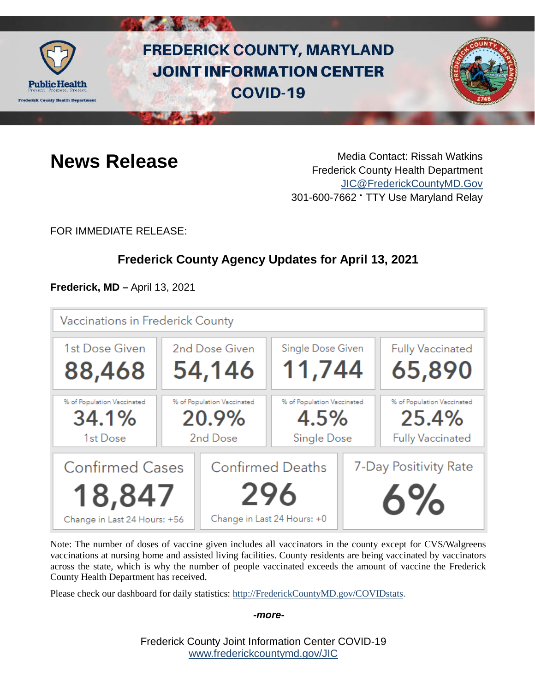

# **FREDERICK COUNTY, MARYLAND JOINT INFORMATION CENTER COVID-19**



**News Release** Media Contact: Rissah Watkins Frederick County Health Department [JIC@FrederickCountyMD.Gov](mailto:JIC@FrederickCountyMD.Gov) 301-600-7662 • TTY Use Maryland Relay

FOR IMMEDIATE RELEASE:

# **Frederick County Agency Updates for April 13, 2021**

**Frederick, MD –** April 13, 2021

| Vaccinations in Frederick County                                 |                |                                                               |                                                   |                             |                                                                |
|------------------------------------------------------------------|----------------|---------------------------------------------------------------|---------------------------------------------------|-----------------------------|----------------------------------------------------------------|
| 1st Dose Given                                                   | 2nd Dose Given |                                                               | Single Dose Given                                 |                             | <b>Fully Vaccinated</b>                                        |
| 88,468                                                           | 54,146         |                                                               | 11,744                                            |                             | 65,890                                                         |
| % of Population Vaccinated<br>34.1%<br>1st Dose                  |                | % of Population Vaccinated<br>20.9%<br>2nd Dose               | % of Population Vaccinated<br>4.5%<br>Single Dose |                             | % of Population Vaccinated<br>25.4%<br><b>Fully Vaccinated</b> |
| <b>Confirmed Cases</b><br>18,847<br>Change in Last 24 Hours: +56 |                | <b>Confirmed Deaths</b><br>296<br>Change in Last 24 Hours: +0 |                                                   | 7-Day Positivity Rate<br>6% |                                                                |

Note: The number of doses of vaccine given includes all vaccinators in the county except for CVS/Walgreens vaccinations at nursing home and assisted living facilities. County residents are being vaccinated by vaccinators across the state, which is why the number of people vaccinated exceeds the amount of vaccine the Frederick County Health Department has received.

Please check our dashboard for daily statistics: [http://FrederickCountyMD.gov/COVIDstats.](http://frederickcountymd.gov/COVIDstats)

*-more-*

Frederick County Joint Information Center COVID-19 [www.frederickcountymd.gov/JIC](https://frederickcountymd.gov/JIC)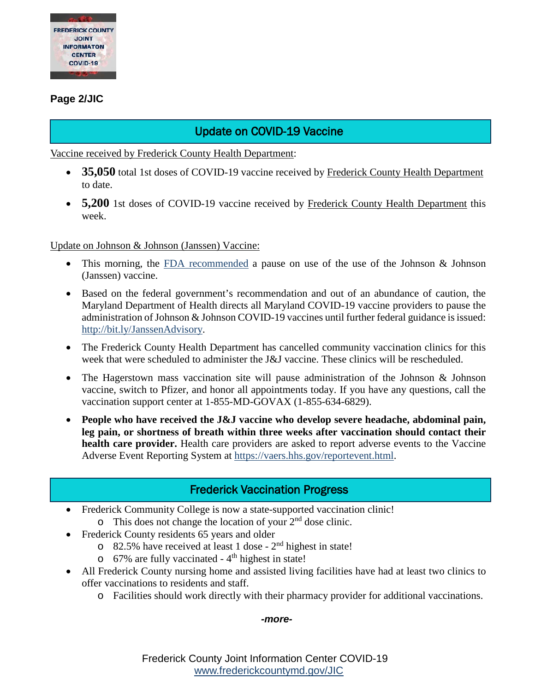

#### **Page 2/JIC**

# Update on COVID-19 Vaccine

Vaccine received by Frederick County Health Department:

- **35,050** total 1st doses of COVID-19 vaccine received by Frederick County Health Department to date.
- **5,200** 1st doses of COVID-19 vaccine received by Frederick County Health Department this week.

Update on Johnson & Johnson (Janssen) Vaccine:

- This morning, the [FDA recommended](https://www.fda.gov/news-events/press-announcements/joint-cdc-and-fda-statement-johnson-johnson-covid-19-vaccine) a pause on use of the use of the Johnson & Johnson (Janssen) vaccine.
- Based on the federal government's recommendation and out of an abundance of caution, the Maryland Department of Health directs all Maryland COVID-19 vaccine providers to pause the administration of Johnson & Johnson COVID-19 vaccines until further federal guidance is issued: [http://bit.ly/JanssenAdvisory.](http://bit.ly/JanssenAdvisory)
- The Frederick County Health Department has cancelled community vaccination clinics for this week that were scheduled to administer the J&J vaccine. These clinics will be rescheduled.
- The Hagerstown mass vaccination site will pause administration of the Johnson & Johnson vaccine, switch to Pfizer, and honor all appointments today. If you have any questions, call the vaccination support center at 1-855-MD-GOVAX (1-855-634-6829).
- **People who have received the J&J vaccine who develop severe headache, abdominal pain, leg pain, or shortness of breath within three weeks after vaccination should contact their health care provider.** Health care providers are asked to report adverse events to the Vaccine Adverse Event Reporting System at [https://vaers.hhs.gov/reportevent.html.](https://urldefense.com/v3/__https:/vaers.hhs.gov/reportevent.html__;!!I2-OFBIJoQBJqqeup9g!Sf_FaPnj_ZL_yri76fPCA0GgJsZUkgbLd2VwlcW_O2MjJ_A8rVPYmQhgypaW6KSQsYOTIorXkEo$)

### Frederick Vaccination Progress

- Frederick Community College is now a state-supported vaccination clinic!
	- $\circ$  This does not change the location of your  $2<sup>nd</sup>$  dose clinic.
- Frederick County residents 65 years and older
	- $\circ$  82.5% have received at least 1 dose 2<sup>nd</sup> highest in state!
	- $\circ$  67% are fully vaccinated 4<sup>th</sup> highest in state!
- All Frederick County nursing home and assisted living facilities have had at least two clinics to offer vaccinations to residents and staff.
	- o Facilities should work directly with their pharmacy provider for additional vaccinations.

#### *-more-*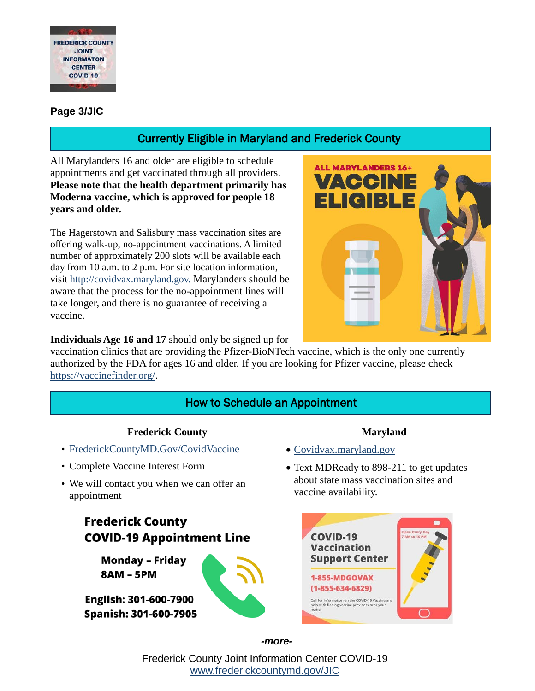

#### **Page 3/JIC**

# Currently Eligible in Maryland and Frederick County

All Marylanders 16 and older are eligible to schedule appointments and get vaccinated through all providers. **Please note that the health department primarily has Moderna vaccine, which is approved for people 18 years and older.**

The Hagerstown and Salisbury mass vaccination sites are offering walk-up, no-appointment vaccinations. A limited number of approximately 200 slots will be available each day from 10 a.m. to 2 p.m. For site location information, visit [http://covidvax.maryland.gov.](http://covidvax.maryland.gov/?fbclid=IwAR1r26ETV6ATS6yLR2pSyDSgl1n_W_y2A0jHa244PNv1h7CeXdXpkLZ5JjQ) Marylanders should be aware that the process for the no-appointment lines will take longer, and there is no guarantee of receiving a vaccine.



**Individuals Age 16 and 17** should only be signed up for

vaccination clinics that are providing the Pfizer-BioNTech vaccine, which is the only one currently authorized by the FDA for ages 16 and older. If you are looking for Pfizer vaccine, please check [https://vaccinefinder.org/.](https://vaccinefinder.org/)

# How to Schedule an Appointment

#### **Frederick County**

- [FrederickCountyMD.Gov/CovidVaccine](https://health.frederickcountymd.gov/629/COVID-19-Vaccine)
- Complete Vaccine Interest Form
- We will contact you when we can offer an appointment

# **Frederick County COVID-19 Appointment Line**

**Monday - Friday 8AM - 5PM** 

English: 301-600-7900 Spanish: 301-600-7905

#### **Maryland**

- [Covidvax.maryland.gov](http://covidvax.maryland.gov/)
- Text MDReady to 898-211 to get updates about state mass vaccination sites and vaccine availability.



*-more-*

Frederick County Joint Information Center COVID-19 [www.frederickcountymd.gov/JIC](https://frederickcountymd.gov/JIC)